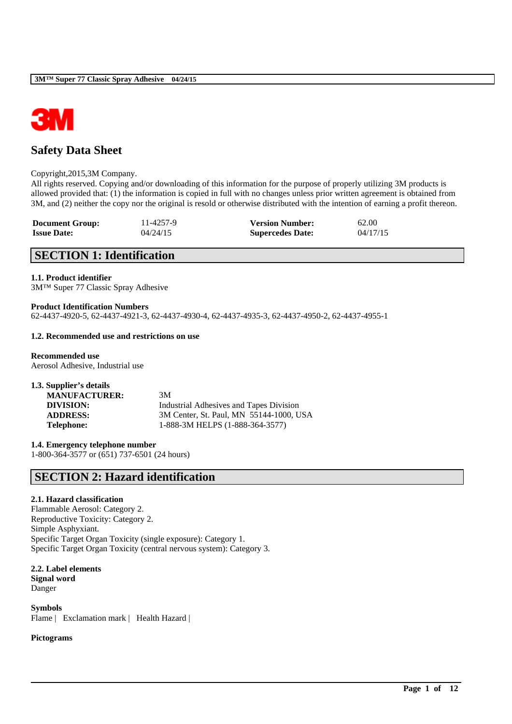

# **Safety Data Sheet**

### Copyright,2015,3M Company.

All rights reserved. Copying and/or downloading of this information for the purpose of properly utilizing 3M products is allowed provided that: (1) the information is copied in full with no changes unless prior written agreement is obtained from 3M, and (2) neither the copy nor the original is resold or otherwise distributed with the intention of earning a profit thereon.

\_\_\_\_\_\_\_\_\_\_\_\_\_\_\_\_\_\_\_\_\_\_\_\_\_\_\_\_\_\_\_\_\_\_\_\_\_\_\_\_\_\_\_\_\_\_\_\_\_\_\_\_\_\_\_\_\_\_\_\_\_\_\_\_\_\_\_\_\_\_\_\_\_\_\_\_\_\_\_\_\_\_\_\_\_\_\_\_\_\_

| <b>Document Group:</b> | 11-4257-9 | <b>Version Number:</b>  | 62.00    |
|------------------------|-----------|-------------------------|----------|
| <b>Issue Date:</b>     | 04/24/15  | <b>Supercedes Date:</b> | 04/17/15 |

# **SECTION 1: Identification**

### **1.1. Product identifier**

3M™ Super 77 Classic Spray Adhesive

### **Product Identification Numbers**

62-4437-4920-5, 62-4437-4921-3, 62-4437-4930-4, 62-4437-4935-3, 62-4437-4950-2, 62-4437-4955-1

### **1.2. Recommended use and restrictions on use**

#### **Recommended use** Aerosol Adhesive, Industrial use

| 1.3. Supplier's details |                                         |
|-------------------------|-----------------------------------------|
| <b>MANUFACTURER:</b>    | 3M                                      |
| DIVISION:               | Industrial Adhesives and Tapes Division |
| <b>ADDRESS:</b>         | 3M Center, St. Paul, MN 55144-1000, USA |
| Telephone:              | 1-888-3M HELPS (1-888-364-3577)         |

**1.4. Emergency telephone number** 1-800-364-3577 or (651) 737-6501 (24 hours)

# **SECTION 2: Hazard identification**

## **2.1. Hazard classification**

Flammable Aerosol: Category 2. Reproductive Toxicity: Category 2. Simple Asphyxiant. Specific Target Organ Toxicity (single exposure): Category 1. Specific Target Organ Toxicity (central nervous system): Category 3.

**2.2. Label elements Signal word** Danger

**Symbols** Flame | Exclamation mark | Health Hazard |

## **Pictograms**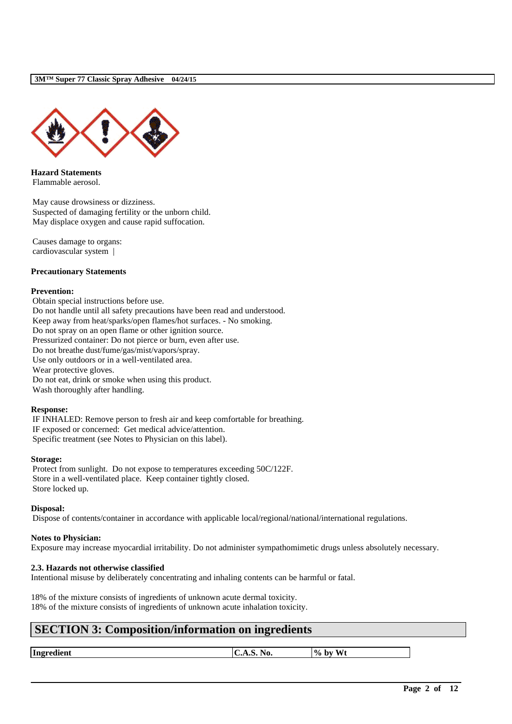

**Hazard Statements** Flammable aerosol.

May cause drowsiness or dizziness. Suspected of damaging fertility or the unborn child. May displace oxygen and cause rapid suffocation.

Causes damage to organs: cardiovascular system |

### **Precautionary Statements**

### **Prevention:**

Obtain special instructions before use. Do not handle until all safety precautions have been read and understood. Keep away from heat/sparks/open flames/hot surfaces. - No smoking. Do not spray on an open flame or other ignition source. Pressurized container: Do not pierce or burn, even after use. Do not breathe dust/fume/gas/mist/vapors/spray. Use only outdoors or in a well-ventilated area. Wear protective gloves. Do not eat, drink or smoke when using this product.

Wash thoroughly after handling.

### **Response:**

IF INHALED: Remove person to fresh air and keep comfortable for breathing. IF exposed or concerned: Get medical advice/attention. Specific treatment (see Notes to Physician on this label).

### **Storage:**

Protect from sunlight. Do not expose to temperatures exceeding 50C/122F. Store in a well-ventilated place. Keep container tightly closed. Store locked up.

### **Disposal:**

Dispose of contents/container in accordance with applicable local/regional/national/international regulations.

### **Notes to Physician:**

Exposure may increase myocardial irritability. Do not administer sympathomimetic drugs unless absolutely necessary.

### **2.3. Hazards not otherwise classified**

Intentional misuse by deliberately concentrating and inhaling contents can be harmful or fatal.

18% of the mixture consists of ingredients of unknown acute dermal toxicity. 18% of the mixture consists of ingredients of unknown acute inhalation toxicity.

# **SECTION 3: Composition/information on ingredients**

**Ingredient C.A.S. No. 9% by Wt**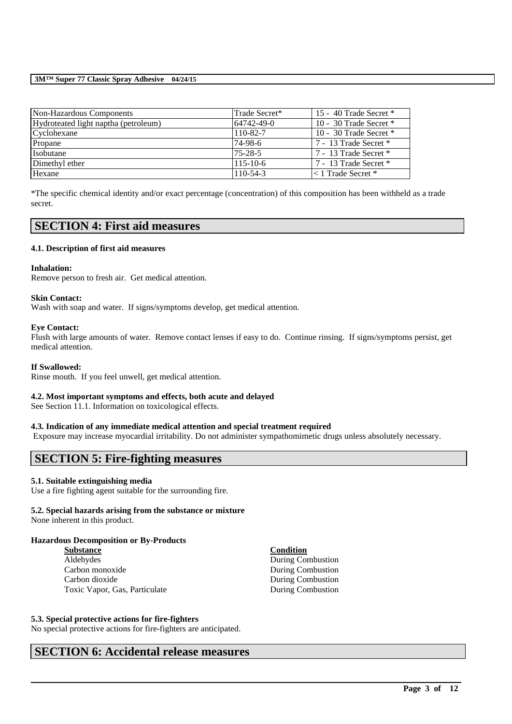| Non-Hazardous Components             | Trade Secret*  | 15 - 40 Trade Secret $*$ |
|--------------------------------------|----------------|--------------------------|
| Hydroteated light naptha (petroleum) | 64742-49-0     | 10 - 30 Trade Secret $*$ |
| Cyclohexane                          | 110-82-7       | 10 - 30 Trade Secret $*$ |
| Propane                              | 74-98-6        | 7 - 13 Trade Secret *    |
| Isobutane                            | $75 - 28 - 5$  | 7 - 13 Trade Secret *    |
| Dimethyl ether                       | $115 - 10 - 6$ | 7 - 13 Trade Secret *    |
| Hexane                               | $110 - 54 - 3$ | $\leq$ 1 Trade Secret *  |

\*The specific chemical identity and/or exact percentage (concentration) of this composition has been withheld as a trade secret.

# **SECTION 4: First aid measures**

### **4.1. Description of first aid measures**

### **Inhalation:**

Remove person to fresh air. Get medical attention.

### **Skin Contact:**

Wash with soap and water. If signs/symptoms develop, get medical attention.

### **Eye Contact:**

Flush with large amounts of water. Remove contact lenses if easy to do. Continue rinsing. If signs/symptoms persist, get medical attention.

### **If Swallowed:**

Rinse mouth. If you feel unwell, get medical attention.

### **4.2. Most important symptoms and effects, both acute and delayed**

See Section 11.1. Information on toxicological effects.

## **4.3. Indication of any immediate medical attention and special treatment required**

Exposure may increase myocardial irritability. Do not administer sympathomimetic drugs unless absolutely necessary.

\_\_\_\_\_\_\_\_\_\_\_\_\_\_\_\_\_\_\_\_\_\_\_\_\_\_\_\_\_\_\_\_\_\_\_\_\_\_\_\_\_\_\_\_\_\_\_\_\_\_\_\_\_\_\_\_\_\_\_\_\_\_\_\_\_\_\_\_\_\_\_\_\_\_\_\_\_\_\_\_\_\_\_\_\_\_\_\_\_\_

# **SECTION 5: Fire-fighting measures**

### **5.1. Suitable extinguishing media**

Use a fire fighting agent suitable for the surrounding fire.

## **5.2. Special hazards arising from the substance or mixture**

None inherent in this product.

## **Hazardous Decomposition or By-Products**

**Substance Condition** Aldehydes During Combustion Carbon monoxide During Combustion Carbon dioxide During Combustion Toxic Vapor, Gas, Particulate During Combustion

### **5.3. Special protective actions for fire-fighters**

No special protective actions for fire-fighters are anticipated.

# **SECTION 6: Accidental release measures**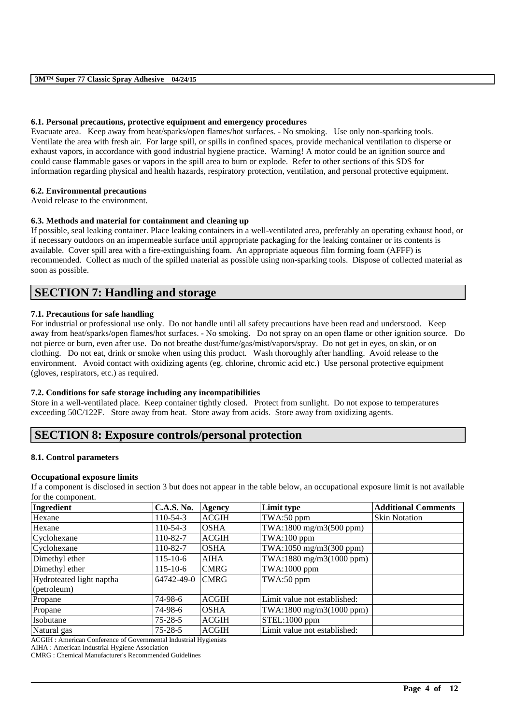### **6.1. Personal precautions, protective equipment and emergency procedures**

Evacuate area. Keep away from heat/sparks/open flames/hot surfaces. - No smoking. Use only non-sparking tools. Ventilate the area with fresh air. For large spill, or spills in confined spaces, provide mechanical ventilation to disperse or exhaust vapors, in accordance with good industrial hygiene practice. Warning! A motor could be an ignition source and could cause flammable gases or vapors in the spill area to burn or explode. Refer to other sections of this SDS for information regarding physical and health hazards, respiratory protection, ventilation, and personal protective equipment.

## **6.2. Environmental precautions**

Avoid release to the environment.

## **6.3. Methods and material for containment and cleaning up**

If possible, seal leaking container. Place leaking containers in a well-ventilated area, preferably an operating exhaust hood, or if necessary outdoors on an impermeable surface until appropriate packaging for the leaking container or its contents is available. Cover spill area with a fire-extinguishing foam. An appropriate aqueous film forming foam (AFFF) is recommended. Collect as much of the spilled material as possible using non-sparking tools. Dispose of collected material as soon as possible.

# **SECTION 7: Handling and storage**

### **7.1. Precautions for safe handling**

For industrial or professional use only. Do not handle until all safety precautions have been read and understood. Keep away from heat/sparks/open flames/hot surfaces. - No smoking. Do not spray on an open flame or other ignition source. Do not pierce or burn, even after use. Do not breathe dust/fume/gas/mist/vapors/spray. Do not get in eyes, on skin, or on clothing. Do not eat, drink or smoke when using this product. Wash thoroughly after handling. Avoid release to the environment. Avoid contact with oxidizing agents (eg. chlorine, chromic acid etc.) Use personal protective equipment (gloves, respirators, etc.) as required.

### **7.2. Conditions for safe storage including any incompatibilities**

Store in a well-ventilated place. Keep container tightly closed. Protect from sunlight. Do not expose to temperatures exceeding 50C/122F. Store away from heat. Store away from acids. Store away from oxidizing agents.

# **SECTION 8: Exposure controls/personal protection**

## **8.1. Control parameters**

### **Occupational exposure limits**

If a component is disclosed in section 3 but does not appear in the table below, an occupational exposure limit is not available for the component.

| Ingredient               | C.A.S. No.     | Agency       | Limit type                   | <b>Additional Comments</b> |
|--------------------------|----------------|--------------|------------------------------|----------------------------|
| Hexane                   | $110-54-3$     | <b>ACGIH</b> | TWA:50 ppm                   | <b>Skin Notation</b>       |
| Hexane                   | $110-54-3$     | <b>OSHA</b>  | TWA:1800 mg/m3(500 ppm)      |                            |
| Cyclohexane              | 110-82-7       | <b>ACGIH</b> | TWA:100 ppm                  |                            |
| Cyclohexane              | 110-82-7       | <b>OSHA</b>  | TWA:1050 mg/m3(300 ppm)      |                            |
| Dimethyl ether           | $115 - 10 - 6$ | <b>AIHA</b>  | TWA:1880 mg/m3(1000 ppm)     |                            |
| Dimethyl ether           | $115 - 10 - 6$ | <b>CMRG</b>  | TWA:1000 ppm                 |                            |
| Hydroteated light naptha | 64742-49-0     | <b>CMRG</b>  | TWA:50 ppm                   |                            |
| (petroleum)              |                |              |                              |                            |
| Propane                  | 74-98-6        | <b>ACGIH</b> | Limit value not established: |                            |
| Propane                  | 74-98-6        | <b>OSHA</b>  | TWA:1800 mg/m3(1000 ppm)     |                            |
| Isobutane                | $75 - 28 - 5$  | <b>ACGIH</b> | STEL:1000 ppm                |                            |
| Natural gas              | $75 - 28 - 5$  | <b>ACGIH</b> | Limit value not established: |                            |

\_\_\_\_\_\_\_\_\_\_\_\_\_\_\_\_\_\_\_\_\_\_\_\_\_\_\_\_\_\_\_\_\_\_\_\_\_\_\_\_\_\_\_\_\_\_\_\_\_\_\_\_\_\_\_\_\_\_\_\_\_\_\_\_\_\_\_\_\_\_\_\_\_\_\_\_\_\_\_\_\_\_\_\_\_\_\_\_\_\_

ACGIH : American Conference of Governmental Industrial Hygienists

AIHA : American Industrial Hygiene Association

CMRG : Chemical Manufacturer's Recommended Guidelines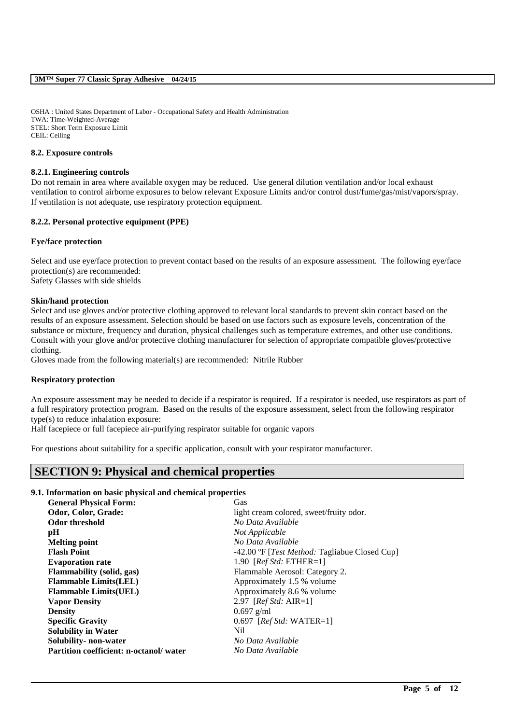OSHA : United States Department of Labor - Occupational Safety and Health Administration TWA: Time-Weighted-Average STEL: Short Term Exposure Limit CEIL: Ceiling

### **8.2. Exposure controls**

#### **8.2.1. Engineering controls**

Do not remain in area where available oxygen may be reduced. Use general dilution ventilation and/or local exhaust ventilation to control airborne exposures to below relevant Exposure Limits and/or control dust/fume/gas/mist/vapors/spray. If ventilation is not adequate, use respiratory protection equipment.

### **8.2.2. Personal protective equipment (PPE)**

#### **Eye/face protection**

Select and use eve/face protection to prevent contact based on the results of an exposure assessment. The following eve/face protection(s) are recommended:

Safety Glasses with side shields

### **Skin/hand protection**

Select and use gloves and/or protective clothing approved to relevant local standards to prevent skin contact based on the results of an exposure assessment. Selection should be based on use factors such as exposure levels, concentration of the substance or mixture, frequency and duration, physical challenges such as temperature extremes, and other use conditions. Consult with your glove and/or protective clothing manufacturer for selection of appropriate compatible gloves/protective clothing.

Gloves made from the following material(s) are recommended: Nitrile Rubber

### **Respiratory protection**

An exposure assessment may be needed to decide if a respirator is required. If a respirator is needed, use respirators as part of a full respiratory protection program. Based on the results of the exposure assessment, select from the following respirator type(s) to reduce inhalation exposure:

Half facepiece or full facepiece air-purifying respirator suitable for organic vapors

For questions about suitability for a specific application, consult with your respirator manufacturer.

# **SECTION 9: Physical and chemical properties**

### **9.1. Information on basic physical and chemical properties**

| light cream colored, sweet/fruity odor.               |
|-------------------------------------------------------|
| No Data Available                                     |
| Not Applicable                                        |
| No Data Available                                     |
| -42.00 °F [ <i>Test Method:</i> Tagliabue Closed Cup] |
| 1.90 [ $RefStd: ETHER=1$ ]                            |
| Flammable Aerosol: Category 2.                        |
| Approximately 1.5 % volume                            |
| Approximately 8.6 % volume                            |
| 2.97 [ $Ref Std: AIR=1$ ]                             |
|                                                       |
| $0.697$ [ <i>Ref Std:</i> WATER=1]                    |
|                                                       |
| No Data Available                                     |
| No Data Available                                     |
|                                                       |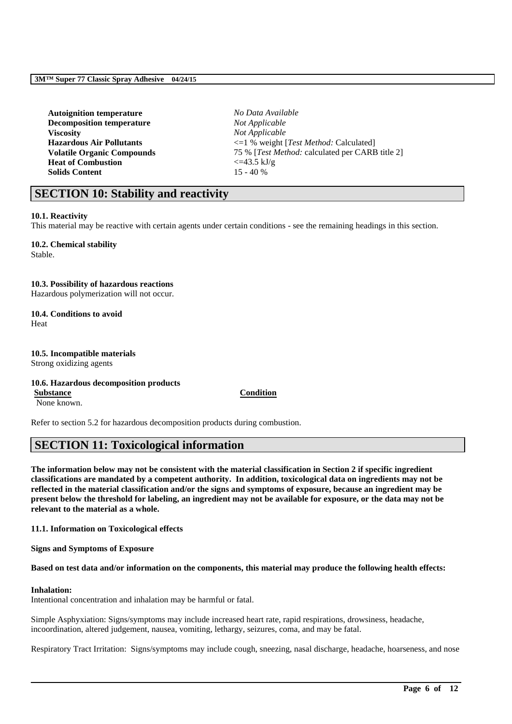| <b>Autoignition temperature</b>   | No Data Available                                   |
|-----------------------------------|-----------------------------------------------------|
| <b>Decomposition temperature</b>  | Not Applicable                                      |
| <b>Viscosity</b>                  | Not Applicable                                      |
| <b>Hazardous Air Pollutants</b>   | $\leq$ 1 % weight [ <i>Test Method:</i> Calculated] |
| <b>Volatile Organic Compounds</b> | 75 % [Test Method: calculated per CARB title 2]     |
| <b>Heat of Combustion</b>         | $\epsilon$ =43.5 kJ/g                               |
| <b>Solids Content</b>             | $15 - 40%$                                          |
|                                   |                                                     |

# **SECTION 10: Stability and reactivity**

### **10.1. Reactivity**

This material may be reactive with certain agents under certain conditions - see the remaining headings in this section.

# **10.2. Chemical stability**

Stable.

### **10.3. Possibility of hazardous reactions**

Hazardous polymerization will not occur.

### **10.4. Conditions to avoid** Heat

# **10.5. Incompatible materials**

Strong oxidizing agents

# **10.6. Hazardous decomposition products**

None known.

**Substance Condition**

Refer to section 5.2 for hazardous decomposition products during combustion.

# **SECTION 11: Toxicological information**

**The information below may not be consistent with the material classification in Section 2 if specific ingredient classifications are mandated by a competent authority. In addition, toxicological data on ingredients may not be reflected in the material classification and/or the signs and symptoms of exposure, because an ingredient may be present below the threshold for labeling, an ingredient may not be available for exposure, or the data may not be relevant to the material as a whole.**

**11.1. Information on Toxicological effects**

**Signs and Symptoms of Exposure**

### **Based on test data and/or information on the components, this material may produce the following health effects:**

# **Inhalation:**

Intentional concentration and inhalation may be harmful or fatal.

Simple Asphyxiation: Signs/symptoms may include increased heart rate, rapid respirations, drowsiness, headache, incoordination, altered judgement, nausea, vomiting, lethargy, seizures, coma, and may be fatal.

Respiratory Tract Irritation: Signs/symptoms may include cough, sneezing, nasal discharge, headache, hoarseness, and nose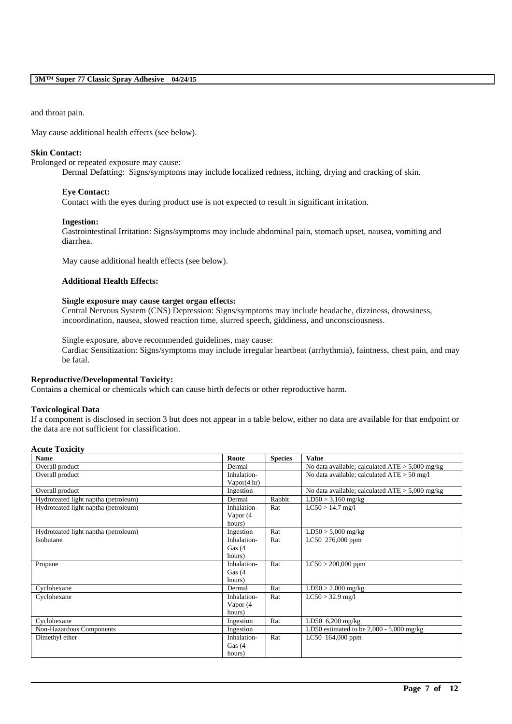and throat pain.

May cause additional health effects (see below).

### **Skin Contact:**

Prolonged or repeated exposure may cause:

Dermal Defatting: Signs/symptoms may include localized redness, itching, drying and cracking of skin.

#### **Eye Contact:**

Contact with the eyes during product use is not expected to result in significant irritation.

#### **Ingestion:**

Gastrointestinal Irritation: Signs/symptoms may include abdominal pain, stomach upset, nausea, vomiting and diarrhea.

May cause additional health effects (see below).

### **Additional Health Effects:**

#### **Single exposure may cause target organ effects:**

Central Nervous System (CNS) Depression: Signs/symptoms may include headache, dizziness, drowsiness, incoordination, nausea, slowed reaction time, slurred speech, giddiness, and unconsciousness.

Single exposure, above recommended guidelines, may cause: Cardiac Sensitization: Signs/symptoms may include irregular heartbeat (arrhythmia), faintness, chest pain, and may be fatal.

# **Reproductive/Developmental Toxicity:**

Contains a chemical or chemicals which can cause birth defects or other reproductive harm.

### **Toxicological Data**

If a component is disclosed in section 3 but does not appear in a table below, either no data are available for that endpoint or the data are not sufficient for classification.

### **Acute Toxicity**

| <b>Name</b>                          | Route       | <b>Species</b> | <b>Value</b>                                      |
|--------------------------------------|-------------|----------------|---------------------------------------------------|
| Overall product                      | Dermal      |                | No data available; calculated $ATE > 5,000$ mg/kg |
| Overall product                      | Inhalation- |                | No data available; calculated $ATE > 50$ mg/l     |
|                                      | Vapor(4 hr) |                |                                                   |
| Overall product                      | Ingestion   |                | No data available; calculated $ATE > 5,000$ mg/kg |
| Hydroteated light naptha (petroleum) | Dermal      | Rabbit         | $LD50 > 3,160$ mg/kg                              |
| Hydroteated light naptha (petroleum) | Inhalation- | Rat            | $LC50 > 14.7$ mg/l                                |
|                                      | Vapor (4    |                |                                                   |
|                                      | hours)      |                |                                                   |
| Hydroteated light naptha (petroleum) | Ingestion   | Rat            | $LD50 > 5,000$ mg/kg                              |
| Isobutane                            | Inhalation- | Rat            | LC50 276,000 ppm                                  |
|                                      | Gas $(4)$   |                |                                                   |
|                                      | hours)      |                |                                                   |
| Propane                              | Inhalation- | Rat            | $LC50 > 200,000$ ppm                              |
|                                      | Gas $(4)$   |                |                                                   |
|                                      | hours)      |                |                                                   |
| Cyclohexane                          | Dermal      | Rat            | $LD50 > 2,000$ mg/kg                              |
| Cyclohexane                          | Inhalation- | Rat            | $LC50 > 32.9$ mg/l                                |
|                                      | Vapor (4    |                |                                                   |
|                                      | hours)      |                |                                                   |
| Cyclohexane                          | Ingestion   | Rat            | $LD50$ 6,200 mg/kg                                |
| Non-Hazardous Components             | Ingestion   |                | LD50 estimated to be $2,000 - 5,000$ mg/kg        |
| Dimethyl ether                       | Inhalation- | Rat            | $LC50$ 164,000 ppm                                |
|                                      | Gas $(4)$   |                |                                                   |
|                                      | hours)      |                |                                                   |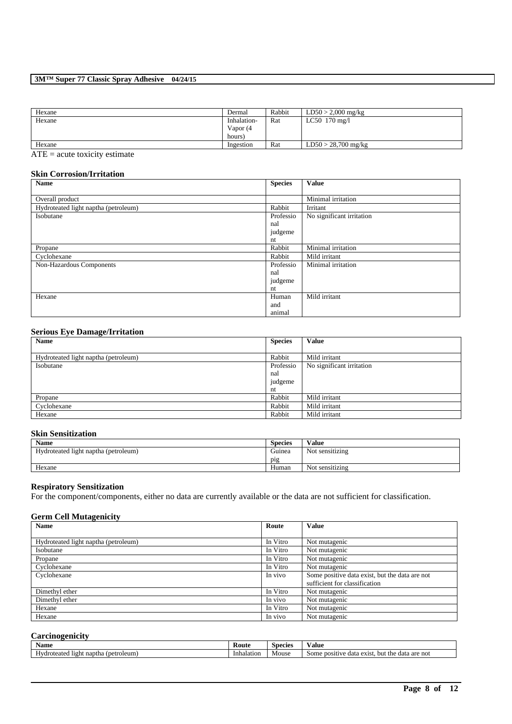| Hexane          | Dermal      | Rabbit | $LD50 > 2,000$ mg/kg    |
|-----------------|-------------|--------|-------------------------|
| Hexane          | Inhalation- | Rat    | LC50 $170 \text{ mg}/1$ |
|                 | Vapor (4    |        |                         |
|                 | hours)      |        |                         |
| Hexane          | Ingestion   | Rat    | $LD50 > 28,700$ mg/kg   |
| $\sim$ $-$<br>. |             |        |                         |

 $ATE = acute toxicity estimate$ 

## **Skin Corrosion/Irritation**

| <b>Name</b>                          | <b>Species</b> | <b>Value</b>              |
|--------------------------------------|----------------|---------------------------|
|                                      |                |                           |
| Overall product                      |                | Minimal irritation        |
| Hydroteated light naptha (petroleum) | Rabbit         | Irritant                  |
| Isobutane                            | Professio      | No significant irritation |
|                                      | nal            |                           |
|                                      | judgeme        |                           |
|                                      | nt             |                           |
| Propane                              | Rabbit         | Minimal irritation        |
| Cyclohexane                          | Rabbit         | Mild irritant             |
| Non-Hazardous Components             | Professio      | Minimal irritation        |
|                                      | nal            |                           |
|                                      | judgeme        |                           |
|                                      | nt             |                           |
| Hexane                               | Human          | Mild irritant             |
|                                      | and            |                           |
|                                      | animal         |                           |

## **Serious Eye Damage/Irritation**

| <b>Name</b>                          | <b>Species</b> | <b>Value</b>              |
|--------------------------------------|----------------|---------------------------|
|                                      |                |                           |
| Hydroteated light naptha (petroleum) | Rabbit         | Mild irritant             |
| Isobutane                            | Professio      | No significant irritation |
|                                      | nal            |                           |
|                                      | judgeme        |                           |
|                                      | nt             |                           |
| Propane                              | Rabbit         | Mild irritant             |
| Cyclohexane                          | Rabbit         | Mild irritant             |
| Hexane                               | Rabbit         | Mild irritant             |

## **Skin Sensitization**

| <b>Name</b>                          | <b>Species</b>   | Value           |
|--------------------------------------|------------------|-----------------|
| Hydroteated light naptha (petroleum) | Guinea           | Not sensitizing |
|                                      | p <sub>1</sub> g |                 |
| Hexane                               | Human            | Not sensitizing |

### **Respiratory Sensitization**

For the component/components, either no data are currently available or the data are not sufficient for classification.

### **Germ Cell Mutagenicity**

| <b>Name</b>                          | Route    | <b>Value</b>                                   |
|--------------------------------------|----------|------------------------------------------------|
|                                      |          |                                                |
| Hydroteated light naptha (petroleum) | In Vitro | Not mutagenic                                  |
| Isobutane                            | In Vitro | Not mutagenic                                  |
| Propane                              | In Vitro | Not mutagenic                                  |
| Cyclohexane                          | In Vitro | Not mutagenic                                  |
| Cyclohexane                          | In vivo  | Some positive data exist, but the data are not |
|                                      |          | sufficient for classification                  |
| Dimethyl ether                       | In Vitro | Not mutagenic                                  |
| Dimethyl ether                       | In vivo  | Not mutagenic                                  |
| Hexane                               | In Vitro | Not mutagenic                                  |
| Hexane                               | In vivo  | Not mutagenic                                  |

## **Carcinogenicity**

| $\mathbf{r}$<br><b>Name</b>                    | Koute      | Species | ⁄ alue                                                                              |
|------------------------------------------------|------------|---------|-------------------------------------------------------------------------------------|
| (petroleum)<br>naptha<br>'roteated light<br>н۳ | Inhalation | Mouse   | <b>positive</b><br>$\alpha$ exist.<br>are not<br>data<br>Some<br>the<br>but<br>data |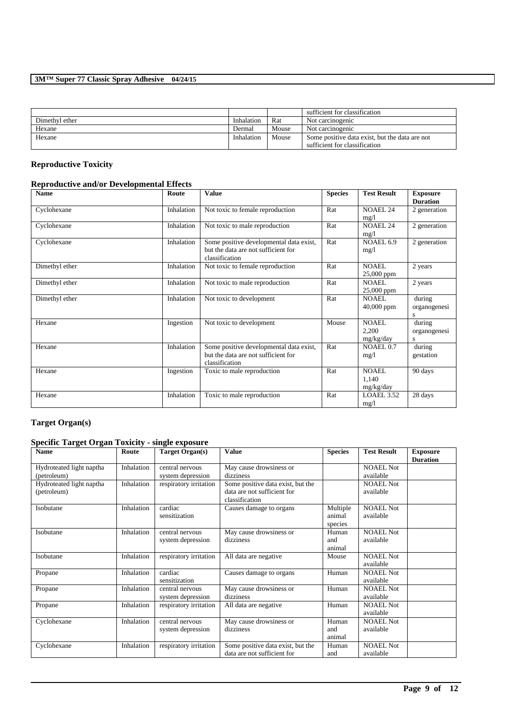|                |            |       | sufficient for classification                                                   |
|----------------|------------|-------|---------------------------------------------------------------------------------|
| Dimethyl ether | Inhalation | Rat   | Not carcinogenic                                                                |
| Hexane         | Dermal     | Mouse | Not carcinogenic                                                                |
| Hexane         | Inhalation | Mouse | Some positive data exist, but the data are not<br>sufficient for classification |

# **Reproductive Toxicity**

# **Reproductive and/or Developmental Effects**

| <b>Name</b>    | Route      | <b>Value</b>                                                                                     | <b>Species</b> | <b>Test Result</b>                 | <b>Exposure</b><br><b>Duration</b> |
|----------------|------------|--------------------------------------------------------------------------------------------------|----------------|------------------------------------|------------------------------------|
| Cyclohexane    | Inhalation | Not toxic to female reproduction                                                                 | Rat            | <b>NOAEL 24</b><br>mg/1            | 2 generation                       |
| Cyclohexane    | Inhalation | Not toxic to male reproduction                                                                   | Rat            | <b>NOAEL 24</b><br>mg/1            | 2 generation                       |
| Cyclohexane    | Inhalation | Some positive developmental data exist,<br>but the data are not sufficient for<br>classification | Rat            | NOAEL 6.9<br>mg/l                  | 2 generation                       |
| Dimethyl ether | Inhalation | Not toxic to female reproduction                                                                 | Rat            | <b>NOAEL</b><br>25,000 ppm         | 2 years                            |
| Dimethyl ether | Inhalation | Not toxic to male reproduction                                                                   | Rat            | NOAEL.<br>$25,000$ ppm             | 2 years                            |
| Dimethyl ether | Inhalation | Not toxic to development                                                                         | Rat            | NOAEL.<br>$40,000$ ppm             | during<br>organogenesi<br>S        |
| Hexane         | Ingestion  | Not toxic to development                                                                         | Mouse          | <b>NOAEL</b><br>2,200<br>mg/kg/day | during<br>organogenesi<br>S        |
| Hexane         | Inhalation | Some positive developmental data exist,<br>but the data are not sufficient for<br>classification | Rat            | NOAEL 0.7<br>mg/l                  | during<br>gestation                |
| Hexane         | Ingestion  | Toxic to male reproduction                                                                       | Rat            | <b>NOAEL</b><br>1.140<br>mg/kg/day | 90 days                            |
| Hexane         | Inhalation | Toxic to male reproduction                                                                       | Rat            | LOAEL 3.52<br>mg/1                 | 28 days                            |

# **Target Organ(s)**

# **Specific Target Organ Toxicity - single exposure**

| <b>Name</b>              | Route      | Target Organ(s)        | <b>Value</b>                                  | <b>Species</b> | <b>Test Result</b> | <b>Exposure</b><br><b>Duration</b> |
|--------------------------|------------|------------------------|-----------------------------------------------|----------------|--------------------|------------------------------------|
| Hydroteated light naptha | Inhalation | central nervous        | May cause drowsiness or                       |                | <b>NOAEL Not</b>   |                                    |
| (petroleum)              |            | system depression      | dizziness                                     |                | available          |                                    |
| Hydroteated light naptha | Inhalation | respiratory irritation | Some positive data exist, but the             |                | <b>NOAEL Not</b>   |                                    |
| (petroleum)              |            |                        | data are not sufficient for<br>classification |                | available          |                                    |
| Isobutane                | Inhalation | cardiac                | Causes damage to organs                       | Multiple       | <b>NOAEL Not</b>   |                                    |
|                          |            | sensitization          |                                               | animal         | available          |                                    |
|                          |            |                        |                                               | species        |                    |                                    |
| Isobutane                | Inhalation | central nervous        | May cause drowsiness or                       | Human          | <b>NOAEL Not</b>   |                                    |
|                          |            | system depression      | dizziness                                     | and            | available          |                                    |
|                          |            |                        |                                               | animal         |                    |                                    |
| Isobutane                | Inhalation | respiratory irritation | All data are negative                         | Mouse          | <b>NOAEL Not</b>   |                                    |
|                          |            |                        |                                               |                | available          |                                    |
| Propane                  | Inhalation | cardiac                | Causes damage to organs                       | Human          | <b>NOAEL Not</b>   |                                    |
|                          |            | sensitization          |                                               |                | available          |                                    |
| Propane                  | Inhalation | central nervous        | May cause drowsiness or                       | Human          | <b>NOAEL Not</b>   |                                    |
|                          |            | system depression      | dizziness                                     |                | available          |                                    |
| Propane                  | Inhalation | respiratory irritation | All data are negative                         | Human          | NOAEL Not          |                                    |
|                          |            |                        |                                               |                | available          |                                    |
| Cyclohexane              | Inhalation | central nervous        | May cause drowsiness or                       | Human          | <b>NOAEL Not</b>   |                                    |
|                          |            | system depression      | dizziness                                     | and            | available          |                                    |
|                          |            |                        |                                               | animal         |                    |                                    |
| Cyclohexane              | Inhalation | respiratory irritation | Some positive data exist, but the             | Human          | <b>NOAEL Not</b>   |                                    |
|                          |            |                        | data are not sufficient for                   | and            | available          |                                    |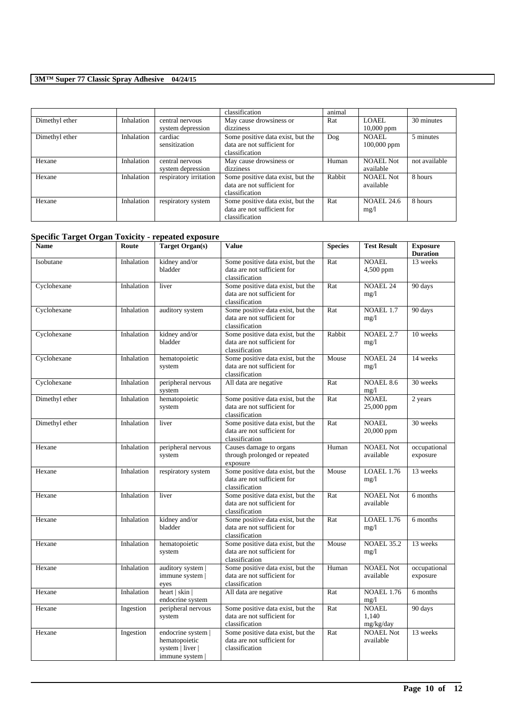|                |            |                        | classification                    | animal |                   |               |
|----------------|------------|------------------------|-----------------------------------|--------|-------------------|---------------|
| Dimethyl ether | Inhalation | central nervous        | May cause drowsiness or           | Rat    | LOAEL             | 30 minutes    |
|                |            | system depression      | dizziness                         |        | $10,000$ ppm      |               |
| Dimethyl ether | Inhalation | cardiac                | Some positive data exist, but the | Dog    | NOAEL             | 5 minutes     |
|                |            | sensitization          | data are not sufficient for       |        | 100,000 ppm       |               |
|                |            |                        | classification                    |        |                   |               |
| Hexane         | Inhalation | central nervous        | May cause drowsiness or           | Human  | NOAEL Not         | not available |
|                |            | system depression      | dizziness                         |        | available         |               |
| Hexane         | Inhalation | respiratory irritation | Some positive data exist, but the | Rabbit | NOAEL Not         | 8 hours       |
|                |            |                        | data are not sufficient for       |        | available         |               |
|                |            |                        | classification                    |        |                   |               |
| Hexane         | Inhalation | respiratory system     | Some positive data exist, but the | Rat    | <b>NOAEL 24.6</b> | 8 hours       |
|                |            |                        | data are not sufficient for       |        | mg/1              |               |
|                |            |                        | classification                    |        |                   |               |

# **Specific Target Organ Toxicity - repeated exposure**

| <b>Name</b>    | Route      | <b>Target Organ(s)</b>                                                   | <b>Value</b>                                                                       | <b>Species</b> | <b>Test Result</b>                 | <b>Exposure</b><br><b>Duration</b> |
|----------------|------------|--------------------------------------------------------------------------|------------------------------------------------------------------------------------|----------------|------------------------------------|------------------------------------|
| Isobutane      | Inhalation | kidney and/or<br>bladder                                                 | Some positive data exist, but the<br>data are not sufficient for<br>classification | Rat            | <b>NOAEL</b><br>4,500 ppm          | 13 weeks                           |
| Cyclohexane    | Inhalation | liver                                                                    | Some positive data exist, but the<br>data are not sufficient for<br>classification | Rat            | <b>NOAEL 24</b><br>mg/1            | 90 days                            |
| Cyclohexane    | Inhalation | auditory system                                                          | Some positive data exist, but the<br>data are not sufficient for<br>classification | Rat            | NOAEL 1.7<br>mg/1                  | 90 days                            |
| Cyclohexane    | Inhalation | kidney and/or<br>bladder                                                 | Some positive data exist, but the<br>data are not sufficient for<br>classification | Rabbit         | NOAEL <sub>2.7</sub><br>mg/1       | 10 weeks                           |
| Cyclohexane    | Inhalation | hematopoietic<br>system                                                  | Some positive data exist, but the<br>data are not sufficient for<br>classification | Mouse          | <b>NOAEL 24</b><br>mg/1            | 14 weeks                           |
| Cyclohexane    | Inhalation | peripheral nervous<br>system                                             | All data are negative                                                              | Rat            | <b>NOAEL 8.6</b><br>mg/1           | 30 weeks                           |
| Dimethyl ether | Inhalation | hematopoietic<br>system                                                  | Some positive data exist, but the<br>data are not sufficient for<br>classification | Rat            | <b>NOAEL</b><br>25,000 ppm         | 2 years                            |
| Dimethyl ether | Inhalation | liver                                                                    | Some positive data exist, but the<br>data are not sufficient for<br>classification | Rat            | <b>NOAEL</b><br>20,000 ppm         | 30 weeks                           |
| Hexane         | Inhalation | peripheral nervous<br>system                                             | Causes damage to organs<br>through prolonged or repeated<br>exposure               | Human          | <b>NOAEL Not</b><br>available      | occupational<br>exposure           |
| Hexane         | Inhalation | respiratory system                                                       | Some positive data exist, but the<br>data are not sufficient for<br>classification | Mouse          | <b>LOAEL 1.76</b><br>mg/1          | 13 weeks                           |
| Hexane         | Inhalation | liver                                                                    | Some positive data exist, but the<br>data are not sufficient for<br>classification | Rat            | <b>NOAEL Not</b><br>available      | 6 months                           |
| Hexane         | Inhalation | kidney and/or<br>bladder                                                 | Some positive data exist, but the<br>data are not sufficient for<br>classification | Rat            | <b>LOAEL 1.76</b><br>mg/1          | 6 months                           |
| Hexane         | Inhalation | hematopoietic<br>system                                                  | Some positive data exist, but the<br>data are not sufficient for<br>classification | Mouse          | <b>NOAEL 35.2</b><br>mg/1          | 13 weeks                           |
| Hexane         | Inhalation | auditory system  <br>immune system  <br>eyes                             | Some positive data exist, but the<br>data are not sufficient for<br>classification | Human          | <b>NOAEL Not</b><br>available      | occupational<br>exposure           |
| Hexane         | Inhalation | heart   skin $ $<br>endocrine system                                     | All data are negative                                                              | Rat            | <b>NOAEL 1.76</b><br>mg/1          | 6 months                           |
| Hexane         | Ingestion  | peripheral nervous<br>system                                             | Some positive data exist, but the<br>data are not sufficient for<br>classification | Rat            | <b>NOAEL</b><br>1.140<br>mg/kg/day | 90 days                            |
| Hexane         | Ingestion  | endocrine system  <br>hematopoietic<br>system   liver  <br>immune system | Some positive data exist, but the<br>data are not sufficient for<br>classification | Rat            | <b>NOAEL Not</b><br>available      | 13 weeks                           |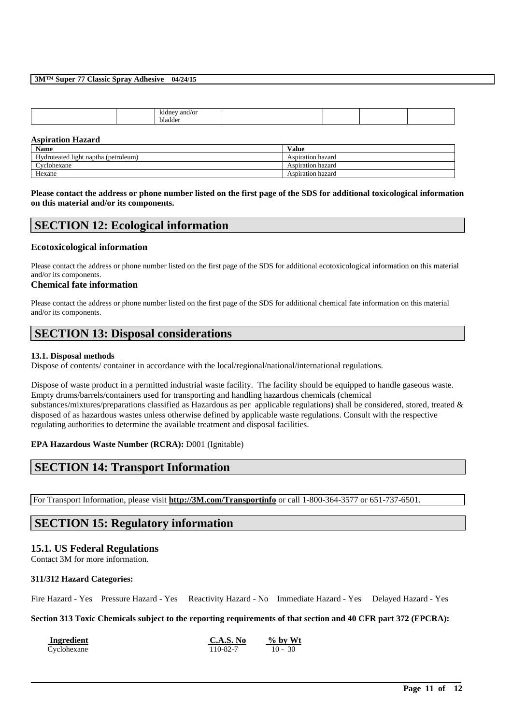| vladr |  | ⊸9n≀.<br>ำdn<br>$\sim$ |  |  |
|-------|--|------------------------|--|--|
|       |  |                        |  |  |

### **Aspiration Hazard**

| <b>Name</b>                          | <b>Value</b>      |
|--------------------------------------|-------------------|
| Hydroteated light naptha (petroleum) | Aspiration hazard |
| Cvclohexane                          | Aspiration hazard |
| Hexane                               | Aspiration hazard |

### **Please contact the address or phone number listed on the first page of the SDS for additional toxicological information on this material and/or its components.**

# **SECTION 12: Ecological information**

## **Ecotoxicological information**

Please contact the address or phone number listed on the first page of the SDS for additional ecotoxicological information on this material and/or its components.

### **Chemical fate information**

Please contact the address or phone number listed on the first page of the SDS for additional chemical fate information on this material and/or its components.

# **SECTION 13: Disposal considerations**

## **13.1. Disposal methods**

Dispose of contents/ container in accordance with the local/regional/national/international regulations.

Dispose of waste product in a permitted industrial waste facility. The facility should be equipped to handle gaseous waste. Empty drums/barrels/containers used for transporting and handling hazardous chemicals (chemical substances/mixtures/preparations classified as Hazardous as per applicable regulations) shall be considered, stored, treated & disposed of as hazardous wastes unless otherwise defined by applicable waste regulations. Consult with the respective regulating authorities to determine the available treatment and disposal facilities.

## **EPA Hazardous Waste Number (RCRA):** D001 (Ignitable)

# **SECTION 14: Transport Information**

For Transport Information, please visit **http://3M.com/Transportinfo** or call 1-800-364-3577 or 651-737-6501.

# **SECTION 15: Regulatory information**

## **15.1. US Federal Regulations**

Contact 3M for more information.

## **311/312 Hazard Categories:**

Fire Hazard - Yes Pressure Hazard - Yes Reactivity Hazard - No Immediate Hazard - Yes Delayed Hazard - Yes

### **Section 313 Toxic Chemicals subject to the reporting requirements of that section and 40 CFR part 372 (EPCRA):**

| Ingredient  | C.A.S. No | $\%$ by Wt |
|-------------|-----------|------------|
| Cyclohexane | 110-82-7  | $10 - 30$  |